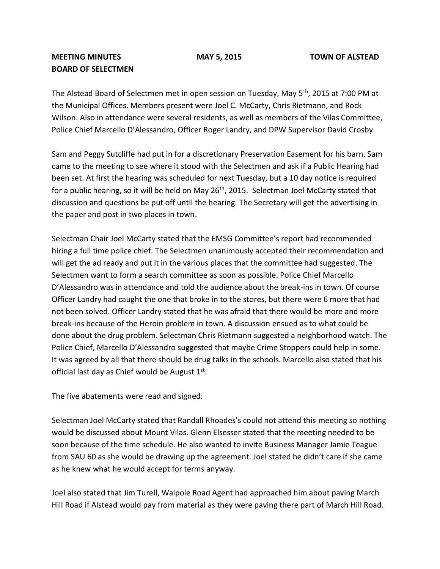## **MEETING MINUTES MAY 5, 2015 TOWN OF ALSTEAD BOARD OF SELECTMEN**

The Alstead Board of Selectmen met in open session on Tuesday, May 5<sup>th</sup>, 2015 at 7:00 PM at the Municipal Offices. Members present were Joel C. McCarty, Chris Rietmann, and Rock Wilson. Also in attendance were several residents, as well as members of the Vilas Committee, Police Chief Marcello D'Alessandro, Officer Roger Landry, and DPW Supervisor David Crosby.

Sam and Peggy Sutcliffe had put in for a discretionary Preservation Easement for his barn. Sam came to the meeting to see where it stood with the Selectmen and ask if a Public Hearing had been set. At first the hearing was scheduled for next Tuesday, but a 10 day notice is required for a public hearing, so it will be held on May  $26<sup>th</sup>$ , 2015. Selectman Joel McCarty stated that discussion and questions be put off until the hearing. The Secretary will get the advertising in the paper and post in two places in town.

Selectman Chair Joel McCarty stated that the EMSG Committee's report had recommended hiring a full time police chief. The Selectmen unanimously accepted their recommendation and will get the ad ready and put it in the various places that the committee had suggested. The Selectmen want to form a search committee as soon as possible. Police Chief Marcello D'Alessandro was in attendance and told the audience about the break-ins in town. Of course Officer Landry had caught the one that broke in to the stores, but there were 6 more that had not been solved. Officer Landry stated that he was afraid that there would be more and more break-ins because of the Heroin problem in town. A discussion ensued as to what could be done about the drug problem. Selectman Chris Rietmann suggested a neighborhood watch. The Police Chief, Marcello D'Alessandro suggested that maybe Crime Stoppers could help in some. It was agreed by all that there should be drug talks in the schools. Marcello also stated that his official last day as Chief would be August 1st.

The five abatements were read and signed.

Selectman Joel McCarty stated that Randall Rhoades's could not attend this meeting so nothing would be discussed about Mount Vilas. Glenn Elsesser stated that the meeting needed to be soon because of the time schedule. He also wanted to invite Business Manager Jamie Teague from SAU 60 as she would be drawing up the agreement. Joel stated he didn't care if she came as he knew what he would accept for terms anyway.

Joel also stated that Jim Turell, Walpole Road Agent had approached him about paving March Hill Road if Alstead would pay from material as they were paving there part of March Hill Road.